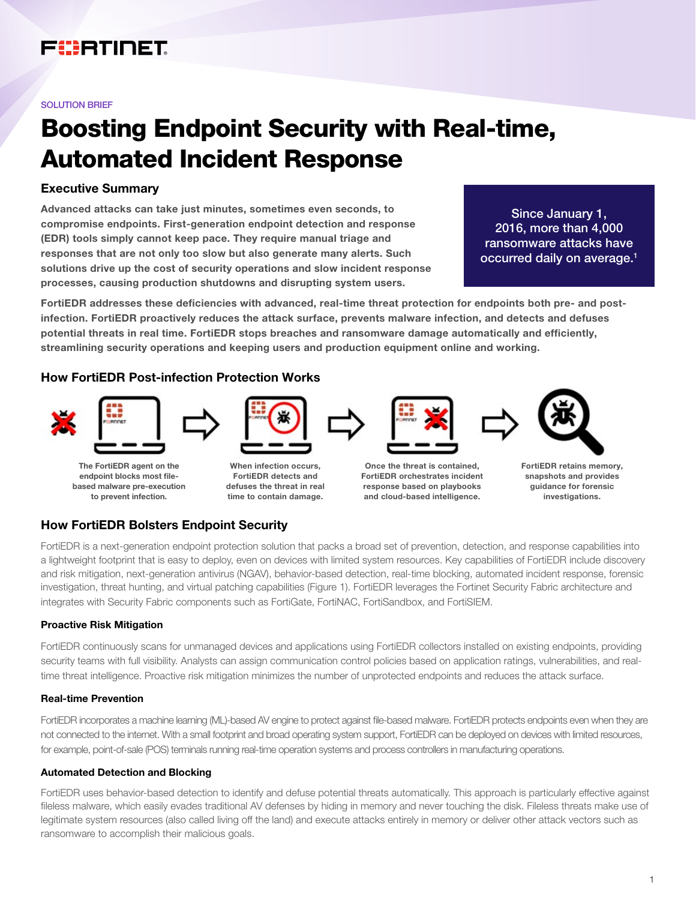## FURTINET

#### SOLUTION BRIEF

# Boosting Endpoint Security with Real-time, Automated Incident Response

## Executive Summary

Advanced attacks can take just minutes, sometimes even seconds, to compromise endpoints. First-generation endpoint detection and response (EDR) tools simply cannot keep pace. They require manual triage and responses that are not only too slow but also generate many alerts. Such solutions drive up the cost of security operations and slow incident response processes, causing production shutdowns and disrupting system users.

Since January 1, 2016, more than 4,000 ransomware attacks have occurred daily on average.<sup>1</sup>

FortiEDR addresses these deficiencies with advanced, real-time threat protection for endpoints both pre- and postinfection. FortiEDR proactively reduces the attack surface, prevents malware infection, and detects and defuses potential threats in real time. FortiEDR stops breaches and ransomware damage automatically and efficiently, streamlining security operations and keeping users and production equipment online and working.

## How FortiEDR Post-infection Protection Works



endpoint blocks most filebased malware pre-execution to prevent infection.

FortiEDR detects and defuses the threat in real time to contain damage.



snapshots and provides guidance for forensic investigations.

## How FortiEDR Bolsters Endpoint Security

FortiEDR is a next-generation endpoint protection solution that packs a broad set of prevention, detection, and response capabilities into a lightweight footprint that is easy to deploy, even on devices with limited system resources. Key capabilities of FortiEDR include discovery and risk mitigation, next-generation antivirus (NGAV), behavior-based detection, real-time blocking, automated incident response, forensic investigation, threat hunting, and virtual patching capabilities (Figure 1). FortiEDR leverages the Fortinet Security Fabric architecture and integrates with Security Fabric components such as FortiGate, FortiNAC, FortiSandbox, and FortiSIEM.

## Proactive Risk Mitigation

FortiEDR continuously scans for unmanaged devices and applications using FortiEDR collectors installed on existing endpoints, providing security teams with full visibility. Analysts can assign communication control policies based on application ratings, vulnerabilities, and realtime threat intelligence. Proactive risk mitigation minimizes the number of unprotected endpoints and reduces the attack surface.

## Real-time Prevention

FortiEDR incorporates a machine learning (ML)-based AV engine to protect against file-based malware. FortiEDR protects endpoints even when they are not connected to the internet. With a small footprint and broad operating system support, FortiEDR can be deployed on devices with limited resources, for example, point-of-sale (POS) terminals running real-time operation systems and process controllers in manufacturing operations.

## Automated Detection and Blocking

FortiEDR uses behavior-based detection to identify and defuse potential threats automatically. This approach is particularly effective against fileless malware, which easily evades traditional AV defenses by hiding in memory and never touching the disk. Fileless threats make use of legitimate system resources (also called living off the land) and execute attacks entirely in memory or deliver other attack vectors such as ransomware to accomplish their malicious goals.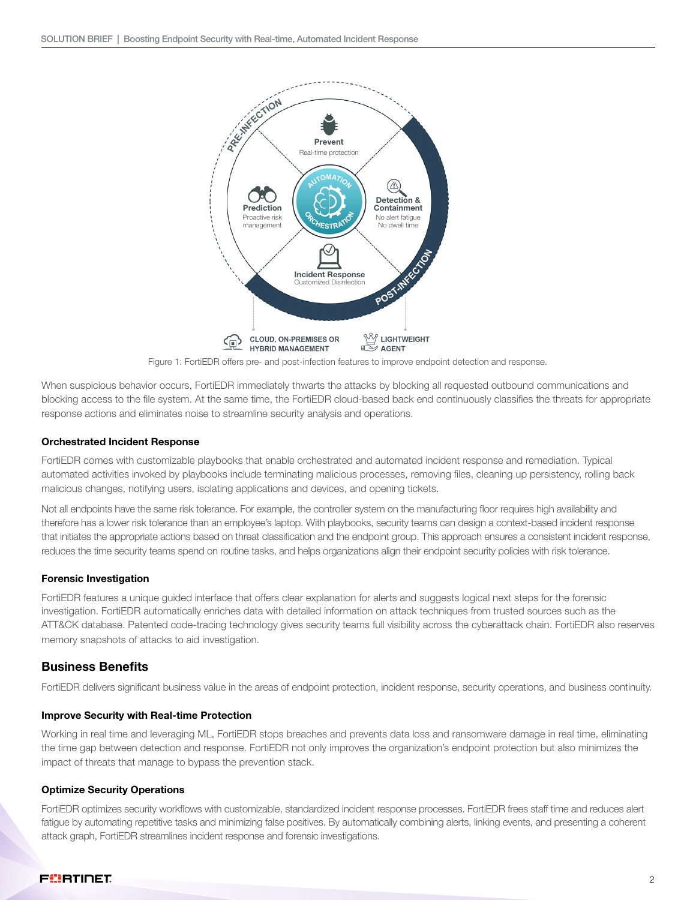

Figure 1: FortiEDR offers pre- and post-infection features to improve endpoint detection and response.

When suspicious behavior occurs, FortiEDR immediately thwarts the attacks by blocking all requested outbound communications and blocking access to the file system. At the same time, the FortiEDR cloud-based back end continuously classifies the threats for appropriate response actions and eliminates noise to streamline security analysis and operations.

#### Orchestrated Incident Response

FortiEDR comes with customizable playbooks that enable orchestrated and automated incident response and remediation. Typical automated activities invoked by playbooks include terminating malicious processes, removing files, cleaning up persistency, rolling back malicious changes, notifying users, isolating applications and devices, and opening tickets.

Not all endpoints have the same risk tolerance. For example, the controller system on the manufacturing floor requires high availability and therefore has a lower risk tolerance than an employee's laptop. With playbooks, security teams can design a context-based incident response that initiates the appropriate actions based on threat classification and the endpoint group. This approach ensures a consistent incident response, reduces the time security teams spend on routine tasks, and helps organizations align their endpoint security policies with risk tolerance.

## Forensic Investigation

FortiEDR features a unique guided interface that offers clear explanation for alerts and suggests logical next steps for the forensic investigation. FortiEDR automatically enriches data with detailed information on attack techniques from trusted sources such as the ATT&CK database. Patented code-tracing technology gives security teams full visibility across the cyberattack chain. FortiEDR also reserves memory snapshots of attacks to aid investigation.

## Business Benefits

FortiEDR delivers significant business value in the areas of endpoint protection, incident response, security operations, and business continuity.

#### Improve Security with Real-time Protection

Working in real time and leveraging ML, FortiEDR stops breaches and prevents data loss and ransomware damage in real time, eliminating the time gap between detection and response. FortiEDR not only improves the organization's endpoint protection but also minimizes the impact of threats that manage to bypass the prevention stack.

#### Optimize Security Operations

FortiEDR optimizes security workflows with customizable, standardized incident response processes. FortiEDR frees staff time and reduces alert fatigue by automating repetitive tasks and minimizing false positives. By automatically combining alerts, linking events, and presenting a coherent attack graph, FortiEDR streamlines incident response and forensic investigations.